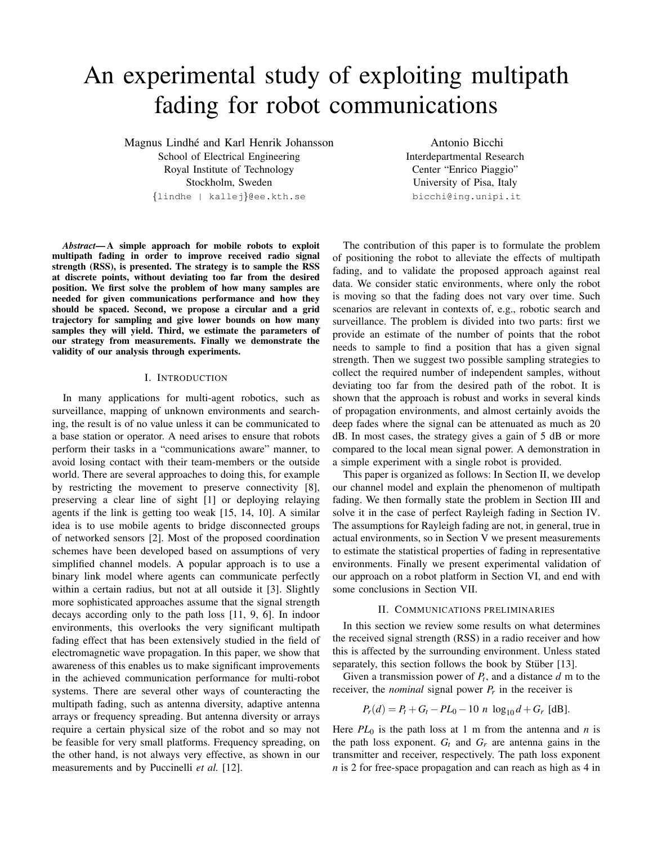# An experimental study of exploiting multipath fading for robot communications

Magnus Lindhe and Karl Henrik Johansson ´ School of Electrical Engineering Royal Institute of Technology Stockholm, Sweden {lindhe | kallej}@ee.kth.se

Antonio Bicchi Interdepartmental Research Center "Enrico Piaggio" University of Pisa, Italy bicchi@ing.unipi.it

*Abstract*— A simple approach for mobile robots to exploit multipath fading in order to improve received radio signal strength (RSS), is presented. The strategy is to sample the RSS at discrete points, without deviating too far from the desired position. We first solve the problem of how many samples are needed for given communications performance and how they should be spaced. Second, we propose a circular and a grid trajectory for sampling and give lower bounds on how many samples they will yield. Third, we estimate the parameters of our strategy from measurements. Finally we demonstrate the validity of our analysis through experiments.

## I. INTRODUCTION

In many applications for multi-agent robotics, such as surveillance, mapping of unknown environments and searching, the result is of no value unless it can be communicated to a base station or operator. A need arises to ensure that robots perform their tasks in a "communications aware" manner, to avoid losing contact with their team-members or the outside world. There are several approaches to doing this, for example by restricting the movement to preserve connectivity [8], preserving a clear line of sight [1] or deploying relaying agents if the link is getting too weak [15, 14, 10]. A similar idea is to use mobile agents to bridge disconnected groups of networked sensors [2]. Most of the proposed coordination schemes have been developed based on assumptions of very simplified channel models. A popular approach is to use a binary link model where agents can communicate perfectly within a certain radius, but not at all outside it [3]. Slightly more sophisticated approaches assume that the signal strength decays according only to the path loss [11, 9, 6]. In indoor environments, this overlooks the very significant multipath fading effect that has been extensively studied in the field of electromagnetic wave propagation. In this paper, we show that awareness of this enables us to make significant improvements in the achieved communication performance for multi-robot systems. There are several other ways of counteracting the multipath fading, such as antenna diversity, adaptive antenna arrays or frequency spreading. But antenna diversity or arrays require a certain physical size of the robot and so may not be feasible for very small platforms. Frequency spreading, on the other hand, is not always very effective, as shown in our measurements and by Puccinelli *et al.* [12].

The contribution of this paper is to formulate the problem of positioning the robot to alleviate the effects of multipath fading, and to validate the proposed approach against real data. We consider static environments, where only the robot is moving so that the fading does not vary over time. Such scenarios are relevant in contexts of, e.g., robotic search and surveillance. The problem is divided into two parts: first we provide an estimate of the number of points that the robot needs to sample to find a position that has a given signal strength. Then we suggest two possible sampling strategies to collect the required number of independent samples, without deviating too far from the desired path of the robot. It is shown that the approach is robust and works in several kinds of propagation environments, and almost certainly avoids the deep fades where the signal can be attenuated as much as 20 dB. In most cases, the strategy gives a gain of 5 dB or more compared to the local mean signal power. A demonstration in a simple experiment with a single robot is provided.

This paper is organized as follows: In Section II, we develop our channel model and explain the phenomenon of multipath fading. We then formally state the problem in Section III and solve it in the case of perfect Rayleigh fading in Section IV. The assumptions for Rayleigh fading are not, in general, true in actual environments, so in Section V we present measurements to estimate the statistical properties of fading in representative environments. Finally we present experimental validation of our approach on a robot platform in Section VI, and end with some conclusions in Section VII.

#### II. COMMUNICATIONS PRELIMINARIES

In this section we review some results on what determines the received signal strength (RSS) in a radio receiver and how this is affected by the surrounding environment. Unless stated separately, this section follows the book by Stüber [13].

Given a transmission power of  $P_t$ , and a distance  $d$  m to the receiver, the *nominal* signal power  $P_r$  in the receiver is

$$
P_r(d) = P_t + G_t - PL_0 - 10 n \log_{10} d + G_r \text{ [dB]}.
$$

Here  $PL_0$  is the path loss at 1 m from the antenna and *n* is the path loss exponent.  $G_t$  and  $G_r$  are antenna gains in the transmitter and receiver, respectively. The path loss exponent *n* is 2 for free-space propagation and can reach as high as 4 in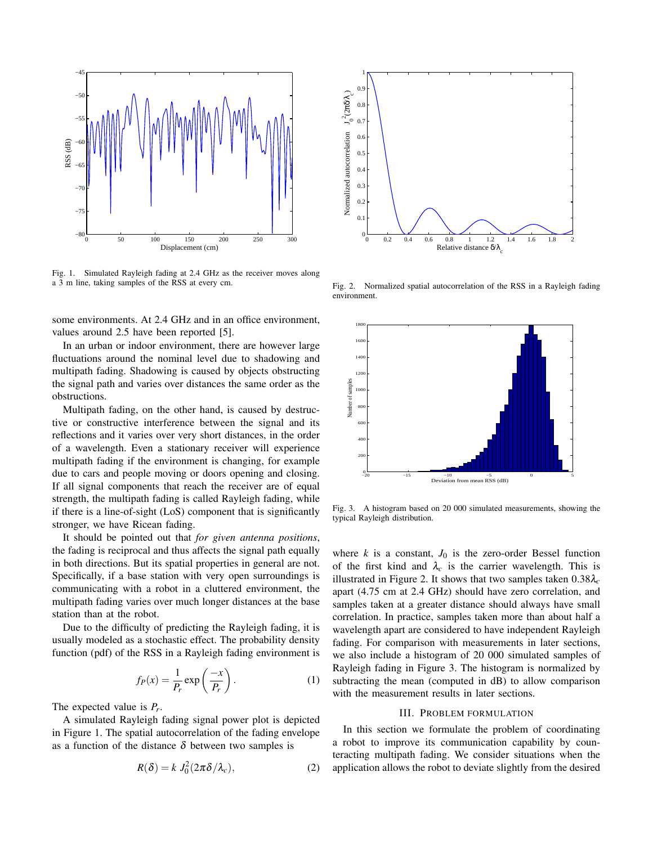

Fig. 1. Simulated Rayleigh fading at 2.4 GHz as the receiver moves along a 3 m line, taking samples of the RSS at every cm.

some environments. At 2.4 GHz and in an office environment, values around 2.5 have been reported [5].

In an urban or indoor environment, there are however large fluctuations around the nominal level due to shadowing and multipath fading. Shadowing is caused by objects obstructing the signal path and varies over distances the same order as the obstructions.

Multipath fading, on the other hand, is caused by destructive or constructive interference between the signal and its reflections and it varies over very short distances, in the order of a wavelength. Even a stationary receiver will experience multipath fading if the environment is changing, for example due to cars and people moving or doors opening and closing. If all signal components that reach the receiver are of equal strength, the multipath fading is called Rayleigh fading, while if there is a line-of-sight (LoS) component that is significantly stronger, we have Ricean fading.

It should be pointed out that *for given antenna positions*, the fading is reciprocal and thus affects the signal path equally in both directions. But its spatial properties in general are not. Specifically, if a base station with very open surroundings is communicating with a robot in a cluttered environment, the multipath fading varies over much longer distances at the base station than at the robot.

Due to the difficulty of predicting the Rayleigh fading, it is usually modeled as a stochastic effect. The probability density function (pdf) of the RSS in a Rayleigh fading environment is

$$
f_P(x) = \frac{1}{P_r} \exp\left(\frac{-x}{P_r}\right). \tag{1}
$$

The expected value is *P<sup>r</sup>* .

A simulated Rayleigh fading signal power plot is depicted in Figure 1. The spatial autocorrelation of the fading envelope as a function of the distance  $\delta$  between two samples is

$$
R(\delta) = k J_0^2 (2\pi \delta / \lambda_c), \qquad (2)
$$



Fig. 2. Normalized spatial autocorrelation of the RSS in a Rayleigh fading environment.



Fig. 3. A histogram based on 20 000 simulated measurements, showing the typical Rayleigh distribution.

where  $k$  is a constant,  $J_0$  is the zero-order Bessel function of the first kind and  $\lambda_c$  is the carrier wavelength. This is illustrated in Figure 2. It shows that two samples taken  $0.38\lambda_c$ apart (4.75 cm at 2.4 GHz) should have zero correlation, and samples taken at a greater distance should always have small correlation. In practice, samples taken more than about half a wavelength apart are considered to have independent Rayleigh fading. For comparison with measurements in later sections, we also include a histogram of 20 000 simulated samples of Rayleigh fading in Figure 3. The histogram is normalized by subtracting the mean (computed in dB) to allow comparison with the measurement results in later sections.

## III. PROBLEM FORMULATION

In this section we formulate the problem of coordinating a robot to improve its communication capability by counteracting multipath fading. We consider situations when the application allows the robot to deviate slightly from the desired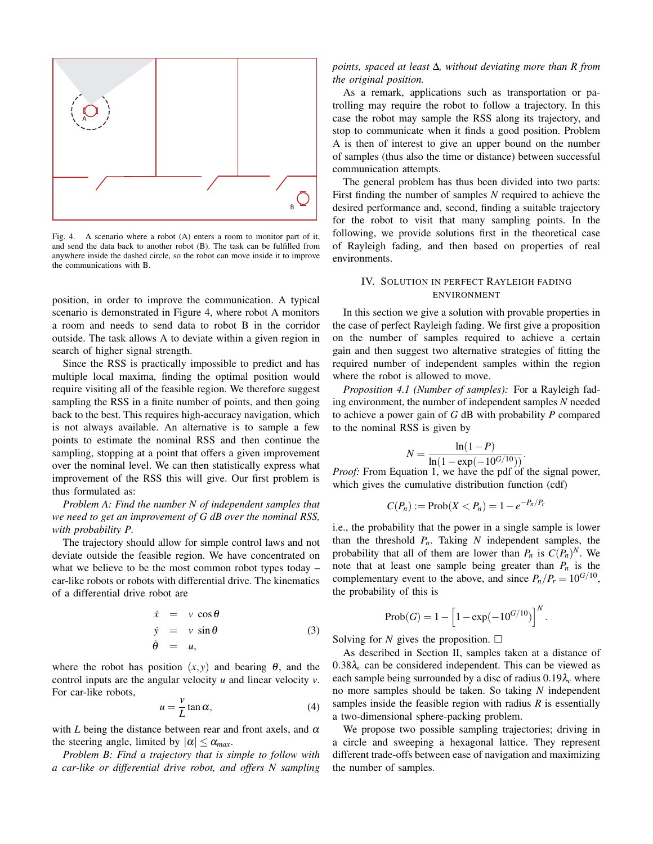

Fig. 4. A scenario where a robot (A) enters a room to monitor part of it, and send the data back to another robot (B). The task can be fulfilled from anywhere inside the dashed circle, so the robot can move inside it to improve the communications with B.

position, in order to improve the communication. A typical scenario is demonstrated in Figure 4, where robot A monitors a room and needs to send data to robot B in the corridor outside. The task allows A to deviate within a given region in search of higher signal strength.

Since the RSS is practically impossible to predict and has multiple local maxima, finding the optimal position would require visiting all of the feasible region. We therefore suggest sampling the RSS in a finite number of points, and then going back to the best. This requires high-accuracy navigation, which is not always available. An alternative is to sample a few points to estimate the nominal RSS and then continue the sampling, stopping at a point that offers a given improvement over the nominal level. We can then statistically express what improvement of the RSS this will give. Our first problem is thus formulated as:

*Problem A: Find the number N of independent samples that we need to get an improvement of G dB over the nominal RSS, with probability P.*

The trajectory should allow for simple control laws and not deviate outside the feasible region. We have concentrated on what we believe to be the most common robot types today – car-like robots or robots with differential drive. The kinematics of a differential drive robot are

$$
\dot{x} = v \cos \theta \n\dot{y} = v \sin \theta \n\dot{\theta} = u,
$$
\n(3)

where the robot has position  $(x, y)$  and bearing  $\theta$ , and the control inputs are the angular velocity *u* and linear velocity *v*. For car-like robots,

$$
u = \frac{v}{L} \tan \alpha, \tag{4}
$$

with *L* being the distance between rear and front axels, and  $\alpha$ the steering angle, limited by  $|\alpha| \le \alpha_{max}$ .

*Problem B: Find a trajectory that is simple to follow with a car-like or differential drive robot, and offers N sampling*

# *points, spaced at least* ∆*, without deviating more than R from the original position.*

As a remark, applications such as transportation or patrolling may require the robot to follow a trajectory. In this case the robot may sample the RSS along its trajectory, and stop to communicate when it finds a good position. Problem A is then of interest to give an upper bound on the number of samples (thus also the time or distance) between successful communication attempts.

The general problem has thus been divided into two parts: First finding the number of samples *N* required to achieve the desired performance and, second, finding a suitable trajectory for the robot to visit that many sampling points. In the following, we provide solutions first in the theoretical case of Rayleigh fading, and then based on properties of real environments.

# IV. SOLUTION IN PERFECT RAYLEIGH FADING ENVIRONMENT

In this section we give a solution with provable properties in the case of perfect Rayleigh fading. We first give a proposition on the number of samples required to achieve a certain gain and then suggest two alternative strategies of fitting the required number of independent samples within the region where the robot is allowed to move.

*Proposition 4.1 (Number of samples):* For a Rayleigh fading environment, the number of independent samples *N* needed to achieve a power gain of *G* dB with probability *P* compared to the nominal RSS is given by

$$
N = \frac{\ln(1-P)}{\ln(1-\exp(-10^{G/10}))}.
$$

*Proof:* From Equation 1, we have the pdf of the signal power, which gives the cumulative distribution function (cdf)

$$
C(P_n) := \mathrm{Prob}(X < P_n) = 1 - e^{-P_n/P_r}
$$

i.e., the probability that the power in a single sample is lower than the threshold  $P_n$ . Taking  $N$  independent samples, the probability that all of them are lower than  $P_n$  is  $C(P_n)^N$ . We note that at least one sample being greater than  $P_n$  is the complementary event to the above, and since  $P_n/P_r = 10^{G/10}$ , the probability of this is

$$
\mathrm{Prob}(G)=1-\Big[1-\exp(-10^{G/10})\Big]^N
$$

.

Solving for *N* gives the proposition.  $\Box$ 

As described in Section II, samples taken at a distance of  $0.38\lambda_c$  can be considered independent. This can be viewed as each sample being surrounded by a disc of radius 0.19λ*<sup>c</sup>* where no more samples should be taken. So taking *N* independent samples inside the feasible region with radius *R* is essentially a two-dimensional sphere-packing problem.

We propose two possible sampling trajectories; driving in a circle and sweeping a hexagonal lattice. They represent different trade-offs between ease of navigation and maximizing the number of samples.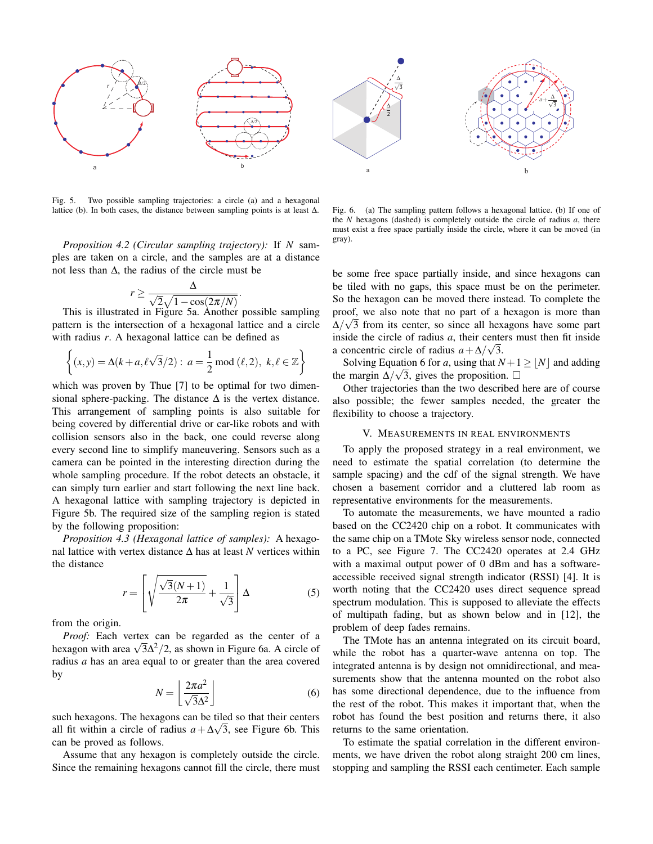

Fig. 5. Two possible sampling trajectories: a circle (a) and a hexagonal lattice (b). In both cases, the distance between sampling points is at least ∆.

*Proposition 4.2 (Circular sampling trajectory):* If *N* samples are taken on a circle, and the samples are at a distance not less than ∆, the radius of the circle must be

$$
r \ge \frac{\Delta}{\sqrt{2}\sqrt{1-\cos(2\pi/N)}}
$$

.

This is illustrated in Figure 5a. Another possible sampling pattern is the intersection of a hexagonal lattice and a circle with radius *r*. A hexagonal lattice can be defined as

$$
\left\{ (x, y) = \Delta(k + a, \ell \sqrt{3}/2) : a = \frac{1}{2} \mod (\ell, 2), \ k, \ell \in \mathbb{Z} \right\}
$$

which was proven by Thue [7] to be optimal for two dimensional sphere-packing. The distance  $\Delta$  is the vertex distance. This arrangement of sampling points is also suitable for being covered by differential drive or car-like robots and with collision sensors also in the back, one could reverse along every second line to simplify maneuvering. Sensors such as a camera can be pointed in the interesting direction during the whole sampling procedure. If the robot detects an obstacle, it can simply turn earlier and start following the next line back. A hexagonal lattice with sampling trajectory is depicted in Figure 5b. The required size of the sampling region is stated by the following proposition:

*Proposition 4.3 (Hexagonal lattice of samples):* A hexagonal lattice with vertex distance ∆ has at least *N* vertices within the distance  $\overline{r}$  $\overline{a}$ 

$$
r = \left[ \sqrt{\frac{\sqrt{3}(N+1)}{2\pi}} + \frac{1}{\sqrt{3}} \right] \Delta
$$
 (5)

from the origin.

*Proof:* Each vertex can be regarded as the center of a *Proof:* Each vertex can be regarded as the center or a hexagon with area  $\sqrt{3}\Delta^2/2$ , as shown in Figure 6a. A circle of radius *a* has an area equal to or greater than the area covered by l. º

$$
N = \left\lfloor \frac{2\pi a^2}{\sqrt{3}\Delta^2} \right\rfloor \tag{6}
$$

such hexagons. The hexagons can be tiled so that their centers all fit within a circle of radius  $a + \Delta\sqrt{3}$ , see Figure 6b. This can be proved as follows.

Assume that any hexagon is completely outside the circle. Since the remaining hexagons cannot fill the circle, there must

Fig. 6. (a) The sampling pattern follows a hexagonal lattice. (b) If one of the *N* hexagons (dashed) is completely outside the circle of radius *a*, there must exist a free space partially inside the circle, where it can be moved (in gray).

be some free space partially inside, and since hexagons can be tiled with no gaps, this space must be on the perimeter. So the hexagon can be moved there instead. To complete the proof, we also note that no part of a hexagon is more than  $\Delta/\sqrt{3}$  from its center, so since all hexagons have some part inside the circle of radius *a*, their centers must then fit inside a concentric circle of radius  $a + \Delta/\sqrt{3}$ .

Solving Equation 6 for *a*, using that  $N+1 \geq \lfloor N \rfloor$  and adding the margin  $\Delta/\sqrt{3}$ , gives the proposition.  $\Box$ 

Other trajectories than the two described here are of course also possible; the fewer samples needed, the greater the flexibility to choose a trajectory.

## V. MEASUREMENTS IN REAL ENVIRONMENTS

To apply the proposed strategy in a real environment, we need to estimate the spatial correlation (to determine the sample spacing) and the cdf of the signal strength. We have chosen a basement corridor and a cluttered lab room as representative environments for the measurements.

To automate the measurements, we have mounted a radio based on the CC2420 chip on a robot. It communicates with the same chip on a TMote Sky wireless sensor node, connected to a PC, see Figure 7. The CC2420 operates at 2.4 GHz with a maximal output power of 0 dBm and has a softwareaccessible received signal strength indicator (RSSI) [4]. It is worth noting that the CC2420 uses direct sequence spread spectrum modulation. This is supposed to alleviate the effects of multipath fading, but as shown below and in [12], the problem of deep fades remains.

The TMote has an antenna integrated on its circuit board, while the robot has a quarter-wave antenna on top. The integrated antenna is by design not omnidirectional, and measurements show that the antenna mounted on the robot also has some directional dependence, due to the influence from the rest of the robot. This makes it important that, when the robot has found the best position and returns there, it also returns to the same orientation.

To estimate the spatial correlation in the different environments, we have driven the robot along straight 200 cm lines, stopping and sampling the RSSI each centimeter. Each sample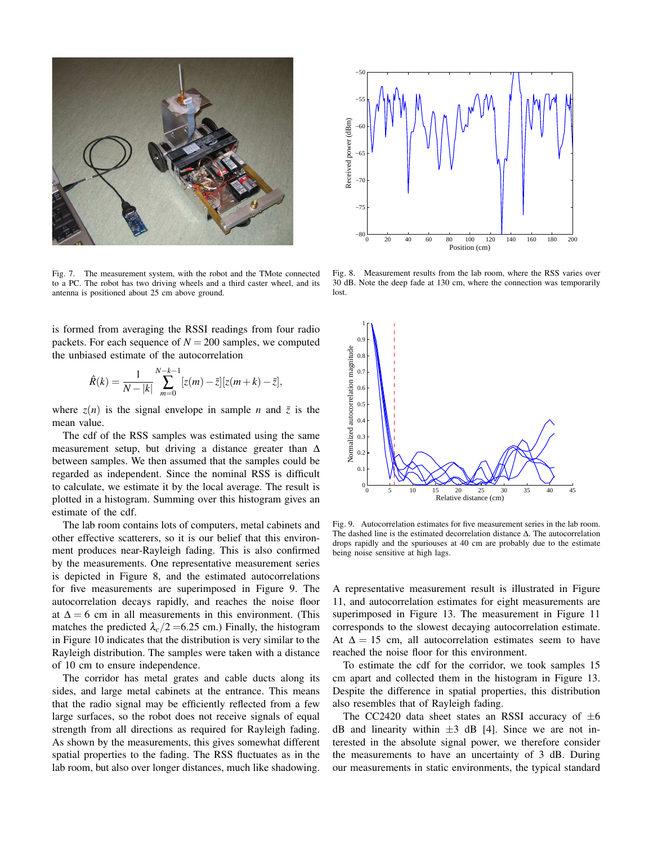

Fig. 7. The measurement system, with the robot and the TMote connected to a PC. The robot has two driving wheels and a third caster wheel, and its antenna is positioned about 25 cm above ground.

is formed from averaging the RSSI readings from four radio packets. For each sequence of  $N = 200$  samples, we computed the unbiased estimate of the autocorrelation

$$
\hat{R}(k) = \frac{1}{N-|k|} \sum_{m=0}^{N-k-1} [z(m) - \bar{z}] [z(m+k) - \bar{z}],
$$

where  $z(n)$  is the signal envelope in sample *n* and  $\bar{z}$  is the mean value.

The cdf of the RSS samples was estimated using the same measurement setup, but driving a distance greater than  $\Delta$ between samples. We then assumed that the samples could be regarded as independent. Since the nominal RSS is difficult to calculate, we estimate it by the local average. The result is plotted in a histogram. Summing over this histogram gives an estimate of the cdf.

The lab room contains lots of computers, metal cabinets and other effective scatterers, so it is our belief that this environment produces near-Rayleigh fading. This is also confirmed by the measurements. One representative measurement series is depicted in Figure 8, and the estimated autocorrelations for five measurements are superimposed in Figure 9. The autocorrelation decays rapidly, and reaches the noise floor at  $\Delta = 6$  cm in all measurements in this environment. (This matches the predicted  $\lambda_c/2$  =6.25 cm.) Finally, the histogram in Figure 10 indicates that the distribution is very similar to the Rayleigh distribution. The samples were taken with a distance of 10 cm to ensure independence.

The corridor has metal grates and cable ducts along its sides, and large metal cabinets at the entrance. This means that the radio signal may be efficiently reflected from a few large surfaces, so the robot does not receive signals of equal strength from all directions as required for Rayleigh fading. As shown by the measurements, this gives somewhat different spatial properties to the fading. The RSS fluctuates as in the lab room, but also over longer distances, much like shadowing.



Fig. 8. Measurement results from the lab room, where the RSS varies over 30 dB. Note the deep fade at 130 cm, where the connection was temporarily lost.



Fig. 9. Autocorrelation estimates for five measurement series in the lab room. The dashed line is the estimated decorrelation distance ∆. The autocorrelation drops rapidly and the spuriouses at 40 cm are probably due to the estimate being noise sensitive at high lags.

A representative measurement result is illustrated in Figure 11, and autocorrelation estimates for eight measurements are superimposed in Figure 13. The measurement in Figure 11 corresponds to the slowest decaying autocorrelation estimate. At  $\Delta = 15$  cm, all autocorrelation estimates seem to have reached the noise floor for this environment.

To estimate the cdf for the corridor, we took samples 15 cm apart and collected them in the histogram in Figure 13. Despite the difference in spatial properties, this distribution also resembles that of Rayleigh fading.

The CC2420 data sheet states an RSSI accuracy of  $\pm 6$ dB and linearity within  $\pm 3$  dB [4]. Since we are not interested in the absolute signal power, we therefore consider the measurements to have an uncertainty of 3 dB. During our measurements in static environments, the typical standard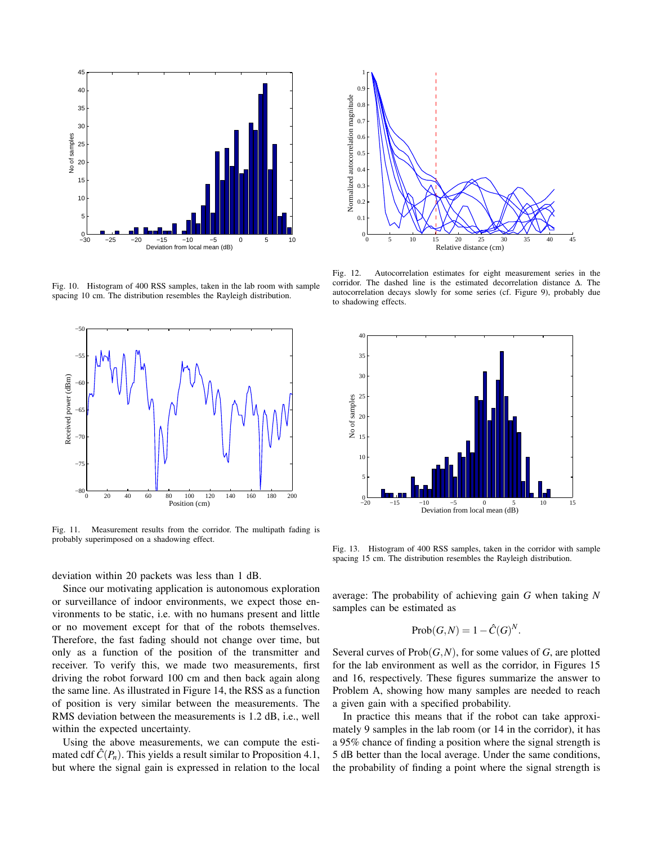

Fig. 10. Histogram of 400 RSS samples, taken in the lab room with sample spacing 10 cm. The distribution resembles the Rayleigh distribution.



Fig. 11. Measurement results from the corridor. The multipath fading is probably superimposed on a shadowing effect.

deviation within 20 packets was less than 1 dB.

Since our motivating application is autonomous exploration or surveillance of indoor environments, we expect those environments to be static, i.e. with no humans present and little or no movement except for that of the robots themselves. Therefore, the fast fading should not change over time, but only as a function of the position of the transmitter and receiver. To verify this, we made two measurements, first driving the robot forward 100 cm and then back again along the same line. As illustrated in Figure 14, the RSS as a function of position is very similar between the measurements. The RMS deviation between the measurements is 1.2 dB, i.e., well within the expected uncertainty.

Using the above measurements, we can compute the estimated cdf  $\hat{C}(P_n)$ . This yields a result similar to Proposition 4.1, but where the signal gain is expressed in relation to the local



Fig. 12. Autocorrelation estimates for eight measurement series in the corridor. The dashed line is the estimated decorrelation distance ∆. The autocorrelation decays slowly for some series (cf. Figure 9), probably due to shadowing effects.



Fig. 13. Histogram of 400 RSS samples, taken in the corridor with sample spacing 15 cm. The distribution resembles the Rayleigh distribution.

average: The probability of achieving gain *G* when taking *N* samples can be estimated as

$$
Prob(G, N) = 1 - \hat{C}(G)^N.
$$

Several curves of Prob(*G*,*N*), for some values of *G*, are plotted for the lab environment as well as the corridor, in Figures 15 and 16, respectively. These figures summarize the answer to Problem A, showing how many samples are needed to reach a given gain with a specified probability.

In practice this means that if the robot can take approximately 9 samples in the lab room (or 14 in the corridor), it has a 95% chance of finding a position where the signal strength is 5 dB better than the local average. Under the same conditions, the probability of finding a point where the signal strength is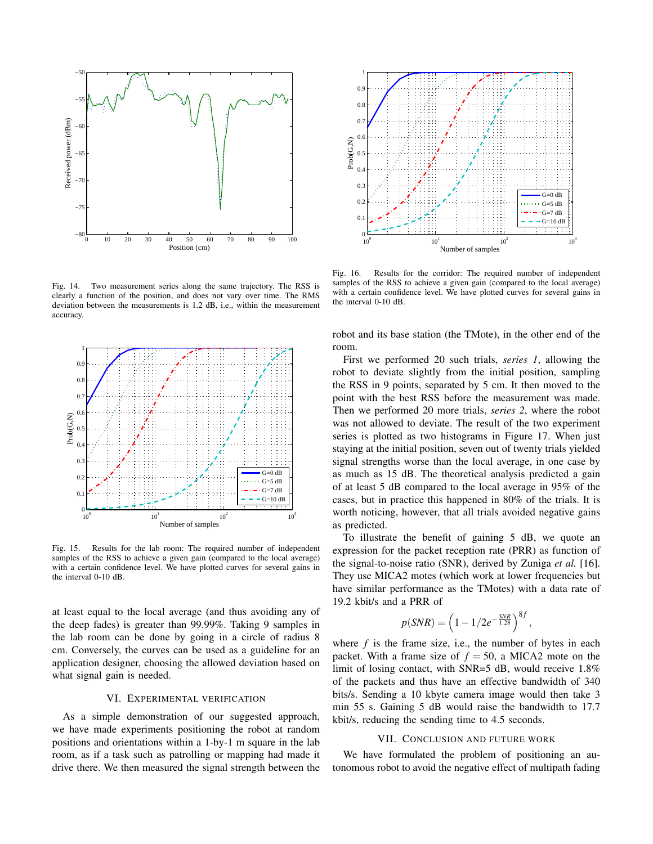

Fig. 14. Two measurement series along the same trajectory. The RSS is clearly a function of the position, and does not vary over time. The RMS deviation between the measurements is 1.2 dB, i.e., within the measurement accuracy.



Fig. 15. Results for the lab room: The required number of independent samples of the RSS to achieve a given gain (compared to the local average) with a certain confidence level. We have plotted curves for several gains in the interval 0-10 dB.

at least equal to the local average (and thus avoiding any of the deep fades) is greater than 99.99%. Taking 9 samples in the lab room can be done by going in a circle of radius 8 cm. Conversely, the curves can be used as a guideline for an application designer, choosing the allowed deviation based on what signal gain is needed.

### VI. EXPERIMENTAL VERIFICATION

As a simple demonstration of our suggested approach, we have made experiments positioning the robot at random positions and orientations within a 1-by-1 m square in the lab room, as if a task such as patrolling or mapping had made it drive there. We then measured the signal strength between the



Fig. 16. Results for the corridor: The required number of independent samples of the RSS to achieve a given gain (compared to the local average) with a certain confidence level. We have plotted curves for several gains in the interval 0-10 dB.

robot and its base station (the TMote), in the other end of the room.

First we performed 20 such trials, *series 1*, allowing the robot to deviate slightly from the initial position, sampling the RSS in 9 points, separated by 5 cm. It then moved to the point with the best RSS before the measurement was made. Then we performed 20 more trials, *series 2*, where the robot was not allowed to deviate. The result of the two experiment series is plotted as two histograms in Figure 17. When just staying at the initial position, seven out of twenty trials yielded signal strengths worse than the local average, in one case by as much as 15 dB. The theoretical analysis predicted a gain of at least 5 dB compared to the local average in 95% of the cases, but in practice this happened in 80% of the trials. It is worth noticing, however, that all trials avoided negative gains as predicted.

To illustrate the benefit of gaining 5 dB, we quote an expression for the packet reception rate (PRR) as function of the signal-to-noise ratio (SNR), derived by Zuniga *et al.* [16]. They use MICA2 motes (which work at lower frequencies but have similar performance as the TMotes) with a data rate of 19.2 kbit/s and a PRR of

$$
p(SNR) = \left(1 - 1/2e^{-\frac{SNR}{1.28}}\right)^{8f},
$$

where  $f$  is the frame size, i.e., the number of bytes in each packet. With a frame size of  $f = 50$ , a MICA2 mote on the limit of losing contact, with SNR=5 dB, would receive 1.8% of the packets and thus have an effective bandwidth of 340 bits/s. Sending a 10 kbyte camera image would then take 3 min 55 s. Gaining 5 dB would raise the bandwidth to 17.7 kbit/s, reducing the sending time to 4.5 seconds.

#### VII. CONCLUSION AND FUTURE WORK

We have formulated the problem of positioning an autonomous robot to avoid the negative effect of multipath fading